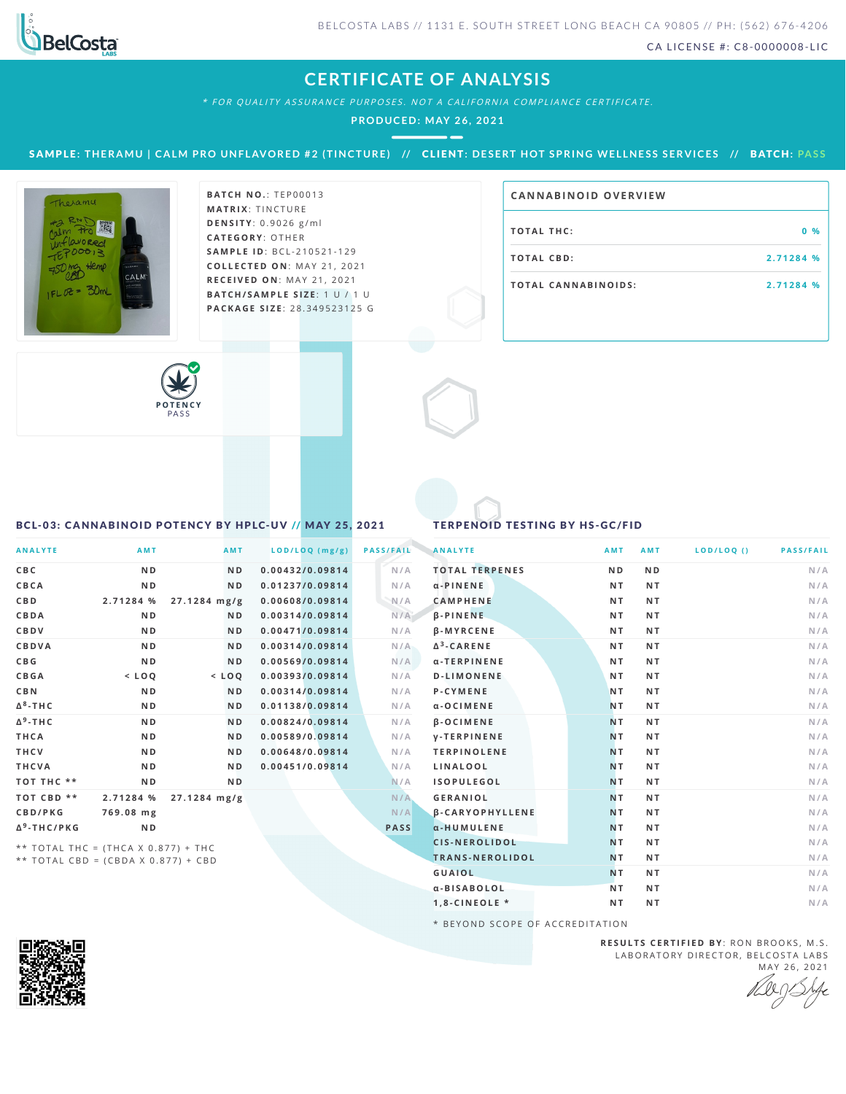

CA LICENSE #: C8-0000008-LIC

## **CERTIFICATE OF ANALYSIS**

\* FOR QUALITY ASSURANCE PURPOSES. NOT A CALIFORNIA COMPLIANCE CERTIFICATE.

**PRODUCED: MAY 26, 2021**

SAMPLE: THERAMU | CALM PRO UNFLAVORED #2 (TINCTURE) // CLIENT: DESERT HOT SPRING WELLNESS SERVICES // BATCH: PASS



**BATCH NO.: TEP00013 MATRIX: TINCTURE D E N S I T Y** :0 . 9 0 2 6 g / m l **CAT E G O R Y** : O T H E R **SA M P L E I D** :B C L - 2 1 0 5 2 1 - 1 2 9 **C O L L E C T E D O N** :M A Y 2 1 , 2 0 2 1 **R E C E I V E D O N** : M A Y 2 1 , 2 0 2 1 **BAT C H / SA M P L E S I Z E** : 1 U / 1 U **PAC KA G E S I Z E** : 2 8 .3 4 9 5 2 3 1 2 5 G

## **CA N N ABI N OID OVERVI EW**

| <b>TOTAL THC:</b>          | $0 \frac{9}{6}$ |
|----------------------------|-----------------|
| TOTAL CBD:                 | 2.71284 %       |
| <b>TOTAL CANNABINOIDS:</b> | 2.71284 %       |



## <span id="page-0-0"></span>BCL-03: CANNABINOID POTENCY BY HPLC-UV // MAY 25, 2021

## TERPENOID TESTING BY HS-GC/FID

| <b>ANALYTE</b>                        | <b>AMT</b>                          | AMT            | LOD/LOQ (mg/g)  | <b>PASS/FAIL</b> | <b>ANALYTE</b>         | <b>AMT</b>     | AMT            | LOD/LOQ() | <b>PASS/FAIL</b> |
|---------------------------------------|-------------------------------------|----------------|-----------------|------------------|------------------------|----------------|----------------|-----------|------------------|
| C B C                                 | N <sub>D</sub>                      | N <sub>D</sub> | 0.00432/0.09814 | N/A              | <b>TOTAL TERPENES</b>  | N <sub>D</sub> | N <sub>D</sub> |           | N/A              |
| CBCA                                  | N <sub>D</sub>                      | N <sub>D</sub> | 0.01237/0.09814 | N/A              | $\alpha$ -PINENE       | <b>NT</b>      | N T            |           | N/A              |
| <b>CBD</b>                            | 2.71284 %                           | 27.1284 mg/g   | 0.00608/0.09814 | N/A              | <b>CAMPHENE</b>        | <b>NT</b>      | NT.            |           | N/A              |
| CBDA                                  | N <sub>D</sub>                      | N <sub>D</sub> | 0.00314/0.09814 | N/A              | $\beta$ -PINENE        | NT.            | NT.            |           | N/A              |
| CBDV                                  | N <sub>D</sub>                      | N <sub>D</sub> | 0.00471/0.09814 | N/A              | <b>B-MYRCENE</b>       | <b>NT</b>      | NT.            |           | N/A              |
| CBDVA                                 | N <sub>D</sub>                      | N <sub>D</sub> | 0.00314/0.09814 | N/A              | $\Delta^3$ -CARENE     | <b>NT</b>      | NT.            |           | N/A              |
| C B G                                 | N <sub>D</sub>                      | N <sub>D</sub> | 0.00569/0.09814 | N/A              | α-TERPINENE            | <b>NT</b>      | NT.            |           | N/A              |
| CBGA                                  | $<$ LOQ                             | $<$ LOQ        | 0.00393/0.09814 | N/A              | <b>D-LIMONENE</b>      | NT.            | <b>NT</b>      |           | N/A              |
| <b>CBN</b>                            | N <sub>D</sub>                      | ND             | 0.00314/0.09814 | N/A              | P-CYMENE               | N <sub>T</sub> | <b>NT</b>      |           | N/A              |
| $\Delta^8$ -THC                       | N <sub>D</sub>                      | N <sub>D</sub> | 0.01138/0.09814 | N/A              | α-OCIMENE              | <b>NT</b>      | NT.            |           | N/A              |
| $\Delta^9$ -THC                       | N <sub>D</sub>                      | <b>ND</b>      | 0.00824/0.09814 | N/A              | <b>B-OCIMENE</b>       | <b>NT</b>      | NT.            |           | N/A              |
| THCA                                  | N <sub>D</sub>                      | ND             | 0.00589/0.09814 | N/A              | <b>V-TERPINENE</b>     | <b>NT</b>      | <b>NT</b>      |           | N/A              |
| <b>THCV</b>                           | N <sub>D</sub>                      | N <sub>D</sub> | 0.00648/0.09814 | N/A              | <b>TERPINOLENE</b>     | <b>NT</b>      | NT.            |           | N/A              |
| THCVA                                 | N <sub>D</sub>                      | N <sub>D</sub> | 0.00451/0.09814 | N/A              | LINALOOL               | <b>NT</b>      | <b>NT</b>      |           | N/A              |
| TOT THC **                            | N <sub>D</sub>                      | N <sub>D</sub> |                 | N/A              | <b>ISOPULEGOL</b>      | <b>NT</b>      | NT.            |           | N/A              |
| TOT CBD **                            | 2.71284 %                           | $27.1284$ mg/g |                 | N/A              | <b>GERANIOL</b>        | <b>NT</b>      | <b>NT</b>      |           | N/A              |
| CBD/PKG                               | 769.08 mg                           |                |                 | N/A              | <b>B-CARYOPHYLLENE</b> | <b>NT</b>      | <b>NT</b>      |           | N/A              |
| Δ <sup>9</sup> -THC/PKG               | N <sub>D</sub>                      |                |                 | <b>PASS</b>      | a-HUMULENE             | <b>NT</b>      | <b>NT</b>      |           | N/A              |
| ** TOTAL THC = (THCA $X$ 0.877) + THC |                                     |                |                 |                  | <b>CIS-NEROLIDOL</b>   | <b>NT</b>      | <b>NT</b>      |           | N/A              |
|                                       | ** TOTAL CBD = (CBDA X 0.877) + CBD |                |                 |                  | TRANS-NEROLIDOL        | <b>NT</b>      | N T            |           | N/A              |
|                                       |                                     |                |                 |                  | <b>GUAIOL</b>          | <b>NT</b>      | NT.            |           | N/A              |
|                                       |                                     |                |                 |                  | α-BISABOLOL            | NT.            | <b>NT</b>      |           | N/A              |

\* BEYOND SCOPE OF ACCREDITATION



**R E S U L T S C E R T I F I E D BY** : R O N B R O O K S , M . S . LABORATORY DIRECTOR, BELCOSTA LABS MAY 26, 2021

**1 , 8 - C I N E O L E \* N T N T N /A**